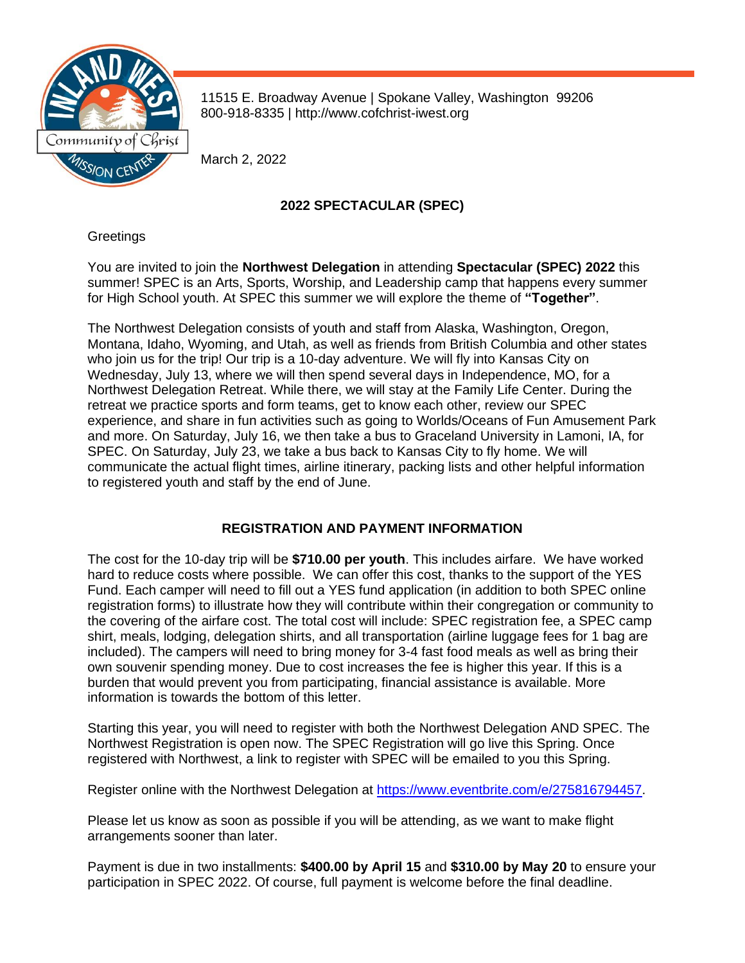

11515 E. Broadway Avenue | Spokane Valley, Washington 99206 800-918-8335 | http://www.cofchrist-iwest.org

March 2, 2022

# **2022 SPECTACULAR (SPEC)**

## **Greetings**

You are invited to join the **Northwest Delegation** in attending **Spectacular (SPEC) 2022** this summer! SPEC is an Arts, Sports, Worship, and Leadership camp that happens every summer for High School youth. At SPEC this summer we will explore the theme of **"Together"**.

The Northwest Delegation consists of youth and staff from Alaska, Washington, Oregon, Montana, Idaho, Wyoming, and Utah, as well as friends from British Columbia and other states who join us for the trip! Our trip is a 10-day adventure. We will fly into Kansas City on Wednesday, July 13, where we will then spend several days in Independence, MO, for a Northwest Delegation Retreat. While there, we will stay at the Family Life Center. During the retreat we practice sports and form teams, get to know each other, review our SPEC experience, and share in fun activities such as going to Worlds/Oceans of Fun Amusement Park and more. On Saturday, July 16, we then take a bus to Graceland University in Lamoni, IA, for SPEC. On Saturday, July 23, we take a bus back to Kansas City to fly home. We will communicate the actual flight times, airline itinerary, packing lists and other helpful information to registered youth and staff by the end of June.

## **REGISTRATION AND PAYMENT INFORMATION**

The cost for the 10-day trip will be **\$710.00 per youth**. This includes airfare. We have worked hard to reduce costs where possible. We can offer this cost, thanks to the support of the YES Fund. Each camper will need to fill out a YES fund application (in addition to both SPEC online registration forms) to illustrate how they will contribute within their congregation or community to the covering of the airfare cost. The total cost will include: SPEC registration fee, a SPEC camp shirt, meals, lodging, delegation shirts, and all transportation (airline luggage fees for 1 bag are included). The campers will need to bring money for 3-4 fast food meals as well as bring their own souvenir spending money. Due to cost increases the fee is higher this year. If this is a burden that would prevent you from participating, financial assistance is available. More information is towards the bottom of this letter.

Starting this year, you will need to register with both the Northwest Delegation AND SPEC. The Northwest Registration is open now. The SPEC Registration will go live this Spring. Once registered with Northwest, a link to register with SPEC will be emailed to you this Spring.

Register online with the Northwest Delegation at [https://www.eventbrite.com/e/275816794457.](https://www.eventbrite.com/e/275816794457)

Please let us know as soon as possible if you will be attending, as we want to make flight arrangements sooner than later.

Payment is due in two installments: **\$400.00 by April 15** and **\$310.00 by May 20** to ensure your participation in SPEC 2022. Of course, full payment is welcome before the final deadline.